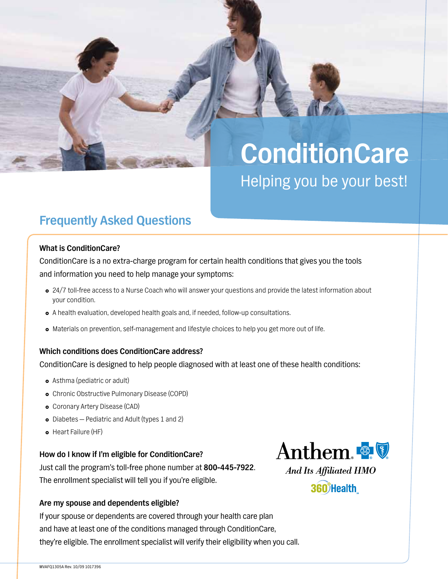# **ConditionCare** Helping you be your best!

## **Frequently Asked Questions**

#### **What is ConditionCare?**

ConditionCare is a no extra-charge program for certain health conditions that gives you the tools and information you need to help manage your symptoms:

- 24/7 toll-free access to a Nurse Coach who will answer your questions and provide the latest information about your condition.
- A health evaluation, developed health goals and, if needed, follow-up consultations.
- } Materials on prevention, self-management and lifestyle choices to help you get more out of life.

#### **Which conditions does ConditionCare address?**

ConditionCare is designed to help people diagnosed with at least one of these health conditions:

- Asthma (pediatric or adult)
- **•** Chronic Obstructive Pulmonary Disease (COPD)
- **•** Coronary Artery Disease (CAD)
- $\bullet$  Diabetes  $-$  Pediatric and Adult (types 1 and 2)
- **•** Heart Failure (HF)

#### **How do I know if I'm eligible for ConditionCare?**

Just call the program's toll-free phone number at **800-445-7922**. The enrollment specialist will tell you if you're eligible.

#### **Are my spouse and dependents eligible?**

If your spouse or dependents are covered through your health care plan and have at least one of the conditions managed through ConditionCare, they're eligible. The enrollment specialist will verify their eligibility when you call.



Anthem.